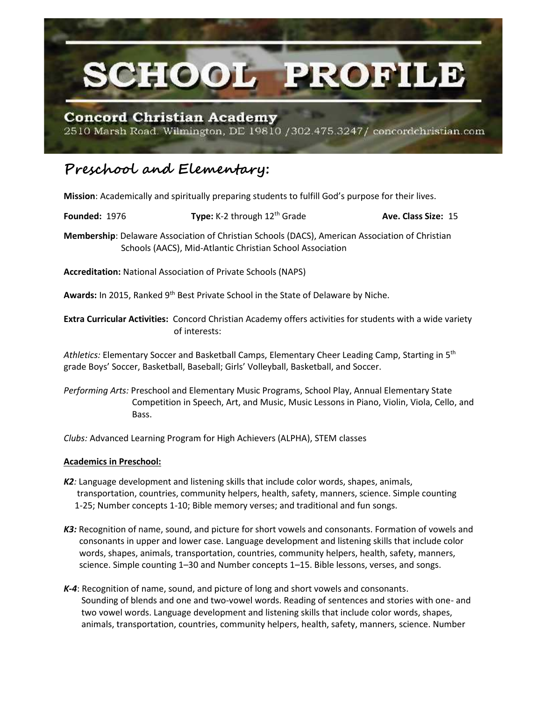

## **Concord Christian Academy**

2510 Marsh Road. Wilmington, DE 19810 / 302.475.3247/ concordchristian.com

## **Preschool and Elementary:**

**Mission**: Academically and spiritually preparing students to fulfill God's purpose for their lives.

**Founded:** 1976 **Type:** K-2 through 12<sup>th</sup> Grade **Ave. Class Size:** 15

**Membership**: Delaware Association of Christian Schools (DACS), American Association of Christian Schools (AACS), Mid-Atlantic Christian School Association

**Accreditation:** National Association of Private Schools (NAPS)

Awards: In 2015, Ranked 9<sup>th</sup> Best Private School in the State of Delaware by Niche.

**Extra Curricular Activities:** Concord Christian Academy offers activities for students with a wide variety of interests:

*Athletics:* Elementary Soccer and Basketball Camps, Elementary Cheer Leading Camp, Starting in 5th grade Boys' Soccer, Basketball, Baseball; Girls' Volleyball, Basketball, and Soccer.

*Performing Arts:* Preschool and Elementary Music Programs, School Play, Annual Elementary State Competition in Speech, Art, and Music, Music Lessons in Piano, Violin, Viola, Cello, and Bass.

*Clubs:* Advanced Learning Program for High Achievers (ALPHA), STEM classes

## **Academics in Preschool:**

- *K2:* Language development and listening skills that include color words, shapes, animals, transportation, countries, community helpers, health, safety, manners, science. Simple counting 1-25; Number concepts 1-10; Bible memory verses; and traditional and fun songs.
- *K3:* Recognition of name, sound, and picture for short vowels and consonants. Formation of vowels and consonants in upper and lower case. Language development and listening skills that include color words, shapes, animals, transportation, countries, community helpers, health, safety, manners, science. Simple counting 1–30 and Number concepts 1–15. Bible lessons, verses, and songs.
- *K-4*: Recognition of name, sound, and picture of long and short vowels and consonants. Sounding of blends and one and two-vowel words. Reading of sentences and stories with one- and two vowel words. Language development and listening skills that include color words, shapes, animals, transportation, countries, community helpers, health, safety, manners, science. Number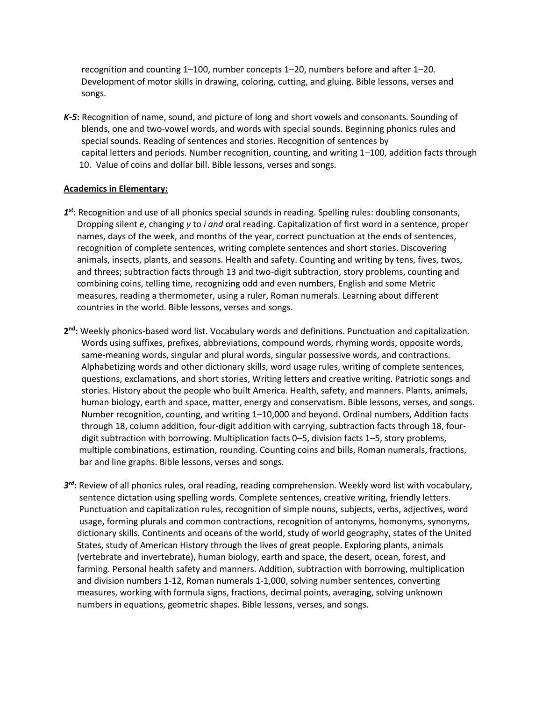recognition and counting 1–100, number concepts 1–20, numbers before and after 1–20. Development of motor skills in drawing, coloring, cutting, and gluing. Bible lessons, verses and songs.

*K-5***:** Recognition of name, sound, and picture of long and short vowels and consonants. Sounding of blends, one and two-vowel words, and words with special sounds. Beginning phonics rules and special sounds. Reading of sentences and stories. Recognition of sentences by capital letters and periods. Number recognition, counting, and writing 1–100, addition facts through 10. Value of coins and dollar bill. Bible lessons, verses and songs.

## **Academics in Elementary:**

- *1 st*: Recognition and use of all phonics special sounds in reading. Spelling rules: doubling consonants, Dropping silent *e*, changing *y* to *i and* oral reading. Capitalization of first word in a sentence, proper names, days of the week, and months of the year, correct punctuation at the ends of sentences, recognition of complete sentences, writing complete sentences and short stories. Discovering animals, insects, plants, and seasons. Health and safety. Counting and writing by tens, fives, twos, and threes; subtraction facts through 13 and two-digit subtraction, story problems, counting and combining coins, telling time, recognizing odd and even numbers, English and some Metric measures, reading a thermometer, using a ruler, Roman numerals. Learning about different countries in the world. Bible lessons, verses and songs.
- **2 nd:** Weekly phonics-based word list. Vocabulary words and definitions. Punctuation and capitalization. Words using suffixes, prefixes, abbreviations, compound words, rhyming words, opposite words, same-meaning words, singular and plural words, singular possessive words, and contractions. Alphabetizing words and other dictionary skills, word usage rules, writing of complete sentences, questions, exclamations, and short stories, Writing letters and creative writing. Patriotic songs and stories. History about the people who built America. Health, safety, and manners. Plants, animals, human biology, earth and space, matter, energy and conservatism. Bible lessons, verses, and songs. Number recognition, counting, and writing 1–10,000 and beyond. Ordinal numbers, Addition facts through 18, column addition, four-digit addition with carrying, subtraction facts through 18, four digit subtraction with borrowing. Multiplication facts 0–5, division facts 1–5, story problems, multiple combinations, estimation, rounding. Counting coins and bills, Roman numerals, fractions, bar and line graphs. Bible lessons, verses and songs.
- *3 rd***:** Review of all phonics rules, oral reading, reading comprehension. Weekly word list with vocabulary, sentence dictation using spelling words. Complete sentences, creative writing, friendly letters. Punctuation and capitalization rules, recognition of simple nouns, subjects, verbs, adjectives, word usage, forming plurals and common contractions, recognition of antonyms, homonyms, synonyms, dictionary skills. Continents and oceans of the world, study of world geography, states of the United States, study of American History through the lives of great people. Exploring plants, animals (vertebrate and invertebrate), human biology, earth and space, the desert, ocean, forest, and farming. Personal health safety and manners. Addition, subtraction with borrowing, multiplication and division numbers 1-12, Roman numerals 1-1,000, solving number sentences, converting measures, working with formula signs, fractions, decimal points, averaging, solving unknown numbers in equations, geometric shapes. Bible lessons, verses, and songs.